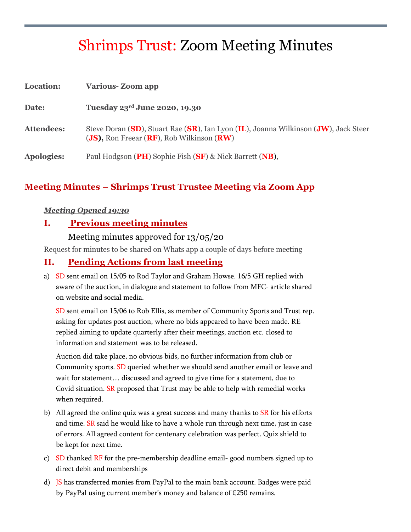# Shrimps Trust: Zoom Meeting Minutes

| Location:         | <b>Various-Zoom app</b>                                                                                                          |
|-------------------|----------------------------------------------------------------------------------------------------------------------------------|
| Date:             | Tuesday 23rd June 2020, 19.30                                                                                                    |
| <b>Attendees:</b> | Steve Doran (SD), Stuart Rae (SR), Ian Lyon (IL), Joanna Wilkinson (JW), Jack Steer<br>(JS), Ron Freear (RF), Rob Wilkinson (RW) |
| Apologies:        | Paul Hodgson (PH) Sophie Fish (SF) & Nick Barrett (NB),                                                                          |

## **Meeting Minutes – Shrimps Trust Trustee Meeting via Zoom App**

#### *Meeting Opened 19:30*

#### **I. Previous meeting minutes**

#### Meeting minutes approved for 13/05/20

Request for minutes to be shared on Whats app a couple of days before meeting

#### **II. Pending Actions from last meeting**

a) SD sent email on 15/05 to Rod Taylor and Graham Howse. 16/5 GH replied with aware of the auction, in dialogue and statement to follow from MFC- article shared on website and social media.

SD sent email on 15/06 to Rob Ellis, as member of Community Sports and Trust rep. asking for updates post auction, where no bids appeared to have been made. RE replied aiming to update quarterly after their meetings, auction etc. closed to information and statement was to be released.

Auction did take place, no obvious bids, no further information from club or Community sports. SD queried whether we should send another email or leave and wait for statement… discussed and agreed to give time for a statement, due to Covid situation. SR proposed that Trust may be able to help with remedial works when required.

- b) All agreed the online quiz was a great success and many thanks to  $SR$  for his efforts and time. SR said he would like to have a whole run through next time, just in case of errors. All agreed content for centenary celebration was perfect. Quiz shield to be kept for next time.
- c) SD thanked  $RF$  for the pre-membership deadline email-good numbers signed up to direct debit and memberships
- d) JS has transferred monies from PayPal to the main bank account. Badges were paid by PayPal using current member's money and balance of £250 remains.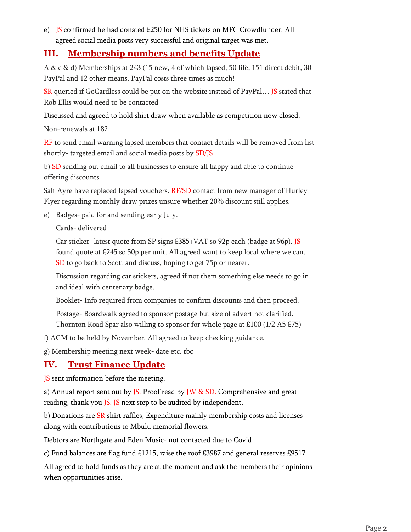e) JS confirmed he had donated £250 for NHS tickets on MFC Crowdfunder. All agreed social media posts very successful and original target was met.

#### **III. Membership numbers and benefits Update**

A & c & d) Memberships at 243 (15 new, 4 of which lapsed, 50 life, 151 direct debit, 30 PayPal and 12 other means. PayPal costs three times as much!

SR queried if GoCardless could be put on the website instead of PayPal... JS stated that Rob Ellis would need to be contacted

Discussed and agreed to hold shirt draw when available as competition now closed.

Non-renewals at 182

RF to send email warning lapsed members that contact details will be removed from list shortly- targeted email and social media posts by SD/JS

b) SD sending out email to all businesses to ensure all happy and able to continue offering discounts.

Salt Ayre have replaced lapsed vouchers. RF/SD contact from new manager of Hurley Flyer regarding monthly draw prizes unsure whether 20% discount still applies.

e) Badges- paid for and sending early July.

Cards- delivered

Car sticker- latest quote from SP signs £385+VAT so 92p each (badge at 96p). JS found quote at £245 so 50p per unit. All agreed want to keep local where we can. SD to go back to Scott and discuss, hoping to get 75p or nearer.

Discussion regarding car stickers, agreed if not them something else needs to go in and ideal with centenary badge.

Booklet- Info required from companies to confirm discounts and then proceed.

Postage- Boardwalk agreed to sponsor postage but size of advert not clarified. Thornton Road Spar also willing to sponsor for whole page at £100 (1/2 A5 £75)

f) AGM to be held by November. All agreed to keep checking guidance.

g) Membership meeting next week- date etc. tbc

## **IV. Trust Finance Update**

JS sent information before the meeting.

a) Annual report sent out by JS. Proof read by JW & SD. Comprehensive and great reading, thank you JS. JS next step to be audited by independent.

b) Donations are SR shirt raffles, Expenditure mainly membership costs and licenses along with contributions to Mbulu memorial flowers.

Debtors are Northgate and Eden Music- not contacted due to Covid

c) Fund balances are flag fund £1215, raise the roof £3987 and general reserves £9517

All agreed to hold funds as they are at the moment and ask the members their opinions when opportunities arise.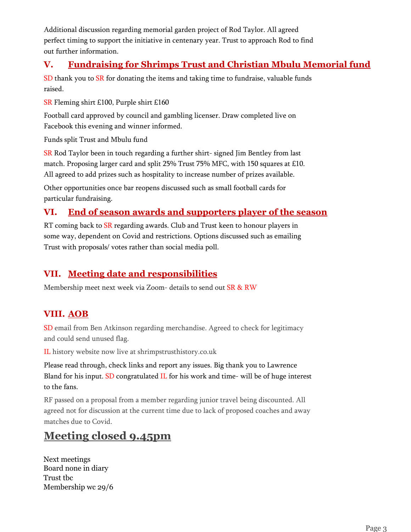Additional discussion regarding memorial garden project of Rod Taylor. All agreed perfect timing to support the initiative in centenary year. Trust to approach Rod to find out further information.

#### **V. Fundraising for Shrimps Trust and Christian Mbulu Memorial fund**

SD thank you to SR for donating the items and taking time to fundraise, valuable funds raised.

SR Fleming shirt £100, Purple shirt £160

Football card approved by council and gambling licenser. Draw completed live on Facebook this evening and winner informed.

Funds split Trust and Mbulu fund

SR Rod Taylor been in touch regarding a further shirt- signed Jim Bentley from last match. Proposing larger card and split 25% Trust 75% MFC, with 150 squares at £10. All agreed to add prizes such as hospitality to increase number of prizes available.

Other opportunities once bar reopens discussed such as small football cards for particular fundraising.

#### **VI. End of season awards and supporters player of the season**

RT coming back to SR regarding awards. Club and Trust keen to honour players in some way, dependent on Covid and restrictions. Options discussed such as emailing Trust with proposals/ votes rather than social media poll.

## **VII. Meeting date and responsibilities**

Membership meet next week via Zoom- details to send out SR & RW

## **VIII. AOB**

SD email from Ben Atkinson regarding merchandise. Agreed to check for legitimacy and could send unused flag.

IL history website now live at shrimpstrusthistory.co.uk

Please read through, check links and report any issues. Big thank you to Lawrence Bland for his input. SD congratulated IL for his work and time- will be of huge interest to the fans.

RF passed on a proposal from a member regarding junior travel being discounted. All agreed not for discussion at the current time due to lack of proposed coaches and away matches due to Covid.

## **Meeting closed 9.45pm**

Next meetings Board none in diary Trust tbc Membership wc 29/6